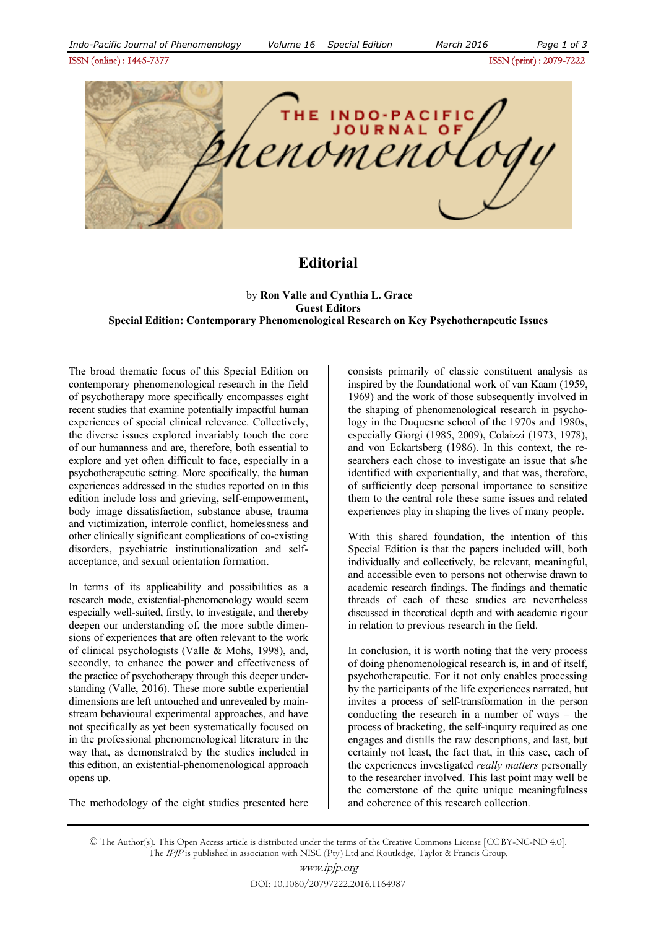ISSN (online) : 1445-7377ISSN (print) : 2079-7222



## **Editorial**

 by **Ron Valle and Cynthia L. Grace Guest Editors Special Edition: Contemporary Phenomenological Research on Key Psychotherapeutic Issues** 

The broad thematic focus of this Special Edition on contemporary phenomenological research in the field of psychotherapy more specifically encompasses eight recent studies that examine potentially impactful human experiences of special clinical relevance. Collectively, the diverse issues explored invariably touch the core of our humanness and are, therefore, both essential to explore and yet often difficult to face, especially in a psychotherapeutic setting. More specifically, the human experiences addressed in the studies reported on in this edition include loss and grieving, self-empowerment, body image dissatisfaction, substance abuse, trauma and victimization, interrole conflict, homelessness and other clinically significant complications of co-existing disorders, psychiatric institutionalization and selfacceptance, and sexual orientation formation.

In terms of its applicability and possibilities as a research mode, existential-phenomenology would seem especially well-suited, firstly, to investigate, and thereby deepen our understanding of, the more subtle dimensions of experiences that are often relevant to the work of clinical psychologists (Valle & Mohs, 1998), and, secondly, to enhance the power and effectiveness of the practice of psychotherapy through this deeper understanding (Valle, 2016). These more subtle experiential dimensions are left untouched and unrevealed by mainstream behavioural experimental approaches, and have not specifically as yet been systematically focused on in the professional phenomenological literature in the way that, as demonstrated by the studies included in this edition, an existential-phenomenological approach opens up.

The methodology of the eight studies presented here

consists primarily of classic constituent analysis as inspired by the foundational work of van Kaam (1959, 1969) and the work of those subsequently involved in the shaping of phenomenological research in psychology in the Duquesne school of the 1970s and 1980s, especially Giorgi (1985, 2009), Colaizzi (1973, 1978), and von Eckartsberg (1986). In this context, the researchers each chose to investigate an issue that s/he identified with experientially, and that was, therefore, of sufficiently deep personal importance to sensitize them to the central role these same issues and related experiences play in shaping the lives of many people.

With this shared foundation, the intention of this Special Edition is that the papers included will, both individually and collectively, be relevant, meaningful, and accessible even to persons not otherwise drawn to academic research findings. The findings and thematic threads of each of these studies are nevertheless discussed in theoretical depth and with academic rigour in relation to previous research in the field.

In conclusion, it is worth noting that the very process of doing phenomenological research is, in and of itself, psychotherapeutic. For it not only enables processing by the participants of the life experiences narrated, but invites a process of self-transformation in the person conducting the research in a number of ways – the process of bracketing, the self-inquiry required as one engages and distills the raw descriptions, and last, but certainly not least, the fact that, in this case, each of the experiences investigated *really matters* personally to the researcher involved. This last point may well be the cornerstone of the quite unique meaningfulness and coherence of this research collection.

© The Author(s). This Open Access article is distributed under the terms of the Creative Commons License [CC BY-NC-ND 4.0]. The IPJP is published in association with NISC (Pty) Ltd and Routledge, Taylor & Francis Group.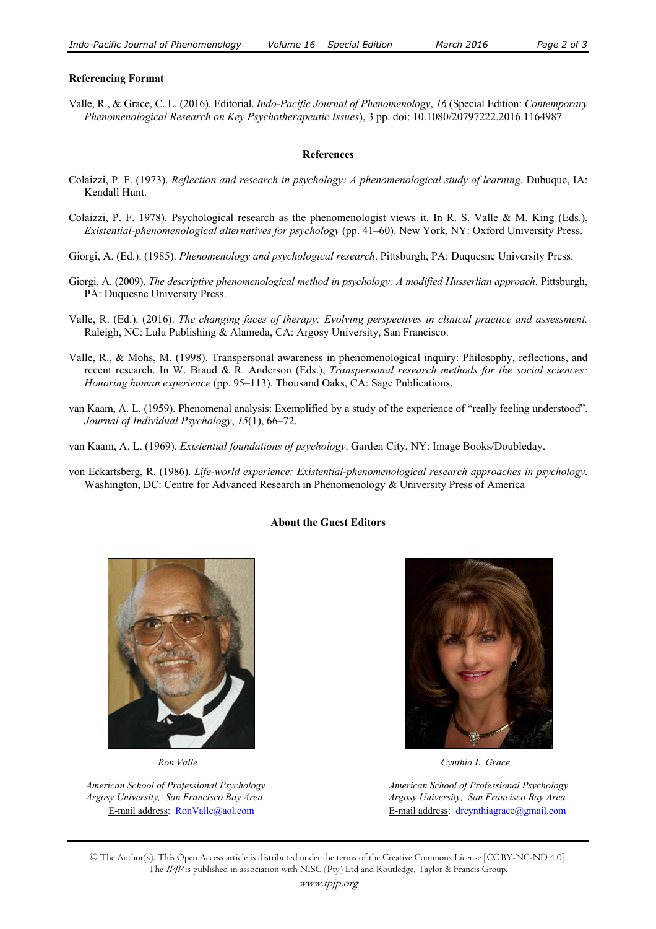## **Referencing Format**

Valle, R., & Grace, C. L. (2016). Editorial. *Indo-Pacific Journal of Phenomenology*, *16* (Special Edition: *Contemporary Phenomenological Research on Key Psychotherapeutic Issues*), 3 pp. doi: 10.1080/20797222.2016.1164987

## **References**

- Colaizzi, P. F. (1973). *Reflection and research in psychology: A phenomenological study of learning*. Dubuque, IA: Kendall Hunt.
- Colaizzi, P. F. 1978). Psychological research as the phenomenologist views it. In R. S. Valle & M. King (Eds.), *Existential-phenomenological alternatives for psychology* (pp. 41–60). New York, NY: Oxford University Press.
- Giorgi, A. (Ed.). (1985). *Phenomenology and psychological research*. Pittsburgh, PA: Duquesne University Press.
- Giorgi, A. (2009). *The descriptive phenomenological method in psychology: A modified Husserlian approach*. Pittsburgh, PA: Duquesne University Press.
- Valle, R. (Ed.). (2016). *The changing faces of therapy: Evolving perspectives in clinical practice and assessment.*  Raleigh, NC: Lulu Publishing & Alameda, CA: Argosy University, San Francisco.
- Valle, R., & Mohs, M. (1998). Transpersonal awareness in phenomenological inquiry: Philosophy, reflections, and recent research. In W. Braud & R. Anderson (Eds.), *Transpersonal research methods for the social sciences: Honoring human experience* (pp. 95–113). Thousand Oaks, CA: Sage Publications.
- van Kaam, A. L. (1959). Phenomenal analysis: Exemplified by a study of the experience of "really feeling understood". *Journal of Individual Psychology*, *15*(1), 66–72.
- van Kaam, A. L. (1969). *Existential foundations of psychology*. Garden City, NY: Image Books/Doubleday.
- von Eckartsberg, R. (1986). *Life-world experience: Existential-phenomenological research approaches in psychology*. Washington, DC: Centre for Advanced Research in Phenomenology & University Press of America

## **About the Guest Editors**



 *Argosy University, San Francisco Bay Area Argosy University, San Francisco Bay Area*



 *Ron Valle Cynthia L. Grace* 

 *American School of Professional Psychology American School of Professional Psychology* E-mail address: RonValle@aol.com E-mail address: drcynthiagrace@gmail.com

© The Author(s). This Open Access article is distributed under the terms of the Creative Commons License [CC BY-NC-ND 4.0]. The *IPJP* is published in association with NISC (Pty) Ltd and Routledge, Taylor & Francis Group.